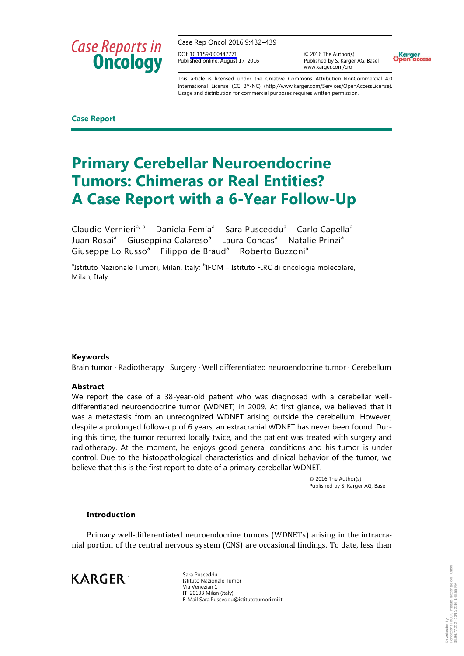Case Rep Oncol 2016;9:432–439

DOI: [10.1159/000447771](http://dx.doi.org/10.1159%2F000447771) Published online: August 17, 2016

© 2016 The Author(s) Published by S. Karger AG, Basel www.karger.com/cro



This article is licensed under the Creative Commons Attribution-NonCommercial 4.0 International License (CC BY-NC) (http://www.karger.com/Services/OpenAccessLicense). Usage and distribution for commercial purposes requires written permission.

**Case Report**

### **Primary Cerebellar Neuroendocrine Tumors: Chimeras or Real Entities? A Case Report with a 6-Year Follow-Up**

Claudio Vernieri<sup>a, b</sup> Daniela Femia<sup>a</sup> Sara Pusceddu<sup>a</sup> Carlo Capella<sup>a</sup> Juan Rosai<sup>a</sup> Giuseppina Calareso<sup>a</sup> Laura Concas<sup>a</sup> Natalie Prinzi<sup>a</sup> Giuseppe Lo Russo<sup>a</sup> Filippo de Braud<sup>a</sup> Roberto Buzzoni<sup>a</sup>

<sup>a</sup>Istituto Nazionale Tumori, Milan, Italy; <sup>b</sup>IFOM – Istituto FIRC di oncologia molecolare, Milan, Italy

### **Keywords**

Brain tumor · Radiotherapy · Surgery · Well differentiated neuroendocrine tumor · Cerebellum

### **Abstract**

We report the case of a 38-year-old patient who was diagnosed with a cerebellar welldifferentiated neuroendocrine tumor (WDNET) in 2009. At first glance, we believed that it was a metastasis from an unrecognized WDNET arising outside the cerebellum. However, despite a prolonged follow-up of 6 years, an extracranial WDNET has never been found. During this time, the tumor recurred locally twice, and the patient was treated with surgery and radiotherapy. At the moment, he enjoys good general conditions and his tumor is under control. Due to the histopathological characteristics and clinical behavior of the tumor, we believe that this is the first report to date of a primary cerebellar WDNET.

> © 2016 The Author(s) Published by S. Karger AG, Basel

### **Introduction**

Primary well-differentiated neuroendocrine tumors (WDNETs) arising in the intracranial portion of the central nervous system (CNS) are occasional findings. To date, less than

**KARGER** 

Sara Pusceddu Istituto Nazionale Tumori Via Venezian 1 IT–20133 Milan (Italy) E-Mail Sara.Pusceddu@istitutotumori.mi.it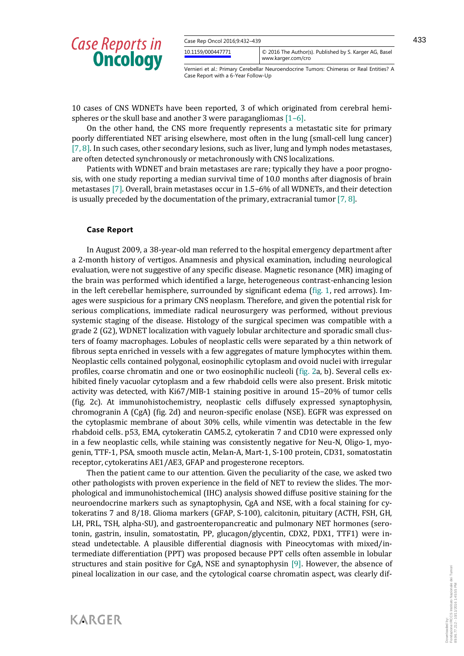| Case Rep Oncol 2016;9:432-439 |                                                                              |  |
|-------------------------------|------------------------------------------------------------------------------|--|
| 10.1159/000447771             | C 2016 The Author(s). Published by S. Karger AG, Basel<br>www.karger.com/cro |  |

433

Vernieri et al.: Primary Cerebellar Neuroendocrine Tumors: Chimeras or Real Entities? A Case Report with a 6-Year Follow-Up

10 cases of CNS WDNETs have been reported, 3 of which originated from cerebral hemispheres or the skull base and another 3 were paragangliomas [1–6].

On the other hand, the CNS more frequently represents a metastatic site for primary poorly differentiated NET arising elsewhere, most often in the lung (small-cell lung cancer) [7, 8]. In such cases, other secondary lesions, such as liver, lung and lymph nodes metastases, are often detected synchronously or metachronously with CNS localizations.

Patients with WDNET and brain metastases are rare; typically they have a poor prognosis, with one study reporting a median survival time of 10.0 months after diagnosis of brain metastases [7]. Overall, brain metastases occur in 1.5–6% of all WDNETs, and their detection is usually preceded by the documentation of the primary, extracranial tumor  $[7, 8]$ .

#### **Case Report**

**KARGER** 

In August 2009, a 38-year-old man referred to the hospital emergency department after a 2-month history of vertigos. Anamnesis and physical examination, including neurological evaluation, were not suggestive of any specific disease. Magnetic resonance (MR) imaging of the brain was performed which identified a large, heterogeneous contrast-enhancing lesion in the left cerebellar hemisphere, surrounded by significant edema (fig. 1, red arrows). Images were suspicious for a primary CNS neoplasm. Therefore, and given the potential risk for serious complications, immediate radical neurosurgery was performed, without previous systemic staging of the disease. Histology of the surgical specimen was compatible with a grade 2 (G2), WDNET localization with vaguely lobular architecture and sporadic small clusters of foamy macrophages. Lobules of neoplastic cells were separated by a thin network of fibrous septa enriched in vessels with a few aggregates of mature lymphocytes within them. Neoplastic cells contained polygonal, eosinophilic cytoplasm and ovoid nuclei with irregular profiles, coarse chromatin and one or two eosinophilic nucleoli (fig. 2a, b). Several cells exhibited finely vacuolar cytoplasm and a few rhabdoid cells were also present. Brisk mitotic activity was detected, with Ki67/MIB-1 staining positive in around 15–20% of tumor cells (fig. 2c). At immunohistochemistry, neoplastic cells diffusely expressed synaptophysin, chromogranin A (CgA) (fig. 2d) and neuron-specific enolase (NSE). EGFR was expressed on the cytoplasmic membrane of about 30% cells, while vimentin was detectable in the few rhabdoid cells. p53, EMA, cytokeratin CAM5.2, cytokeratin 7 and CD10 were expressed only in a few neoplastic cells, while staining was consistently negative for Neu-N, Oligo-1, myogenin, TTF-1, PSA, smooth muscle actin, Melan-A, Mart-1, S-100 protein, CD31, somatostatin receptor, cytokeratins AE1/AE3, GFAP and progesterone receptors.

Then the patient came to our attention. Given the peculiarity of the case, we asked two other pathologists with proven experience in the field of NET to review the slides. The morphological and immunohistochemical (IHC) analysis showed diffuse positive staining for the neuroendocrine markers such as synaptophysin, CgA and NSE, with a focal staining for cytokeratins 7 and 8/18. Glioma markers (GFAP, S-100), calcitonin, pituitary (ACTH, FSH, GH, LH, PRL, TSH, alpha-SU), and gastroenteropancreatic and pulmonary NET hormones (serotonin, gastrin, insulin, somatostatin, PP, glucagon/glycentin, CDX2, PDX1, TTF1) were instead undetectable. A plausible differential diagnosis with Pineocytomas with mixed/intermediate differentiation (PPT) was proposed because PPT cells often assemble in lobular structures and stain positive for CgA, NSE and synaptophysin [9]. However, the absence of pineal localization in our case, and the cytological coarse chromatin aspect, was clearly dif-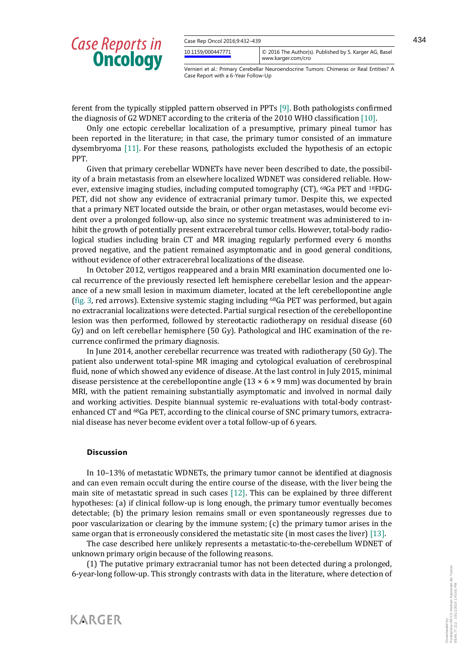| Case Rep Oncol 2016;9:432-439 |                                                                              |
|-------------------------------|------------------------------------------------------------------------------|
| 10.1159/000447771             | C 2016 The Author(s). Published by S. Karger AG, Basel<br>www.karger.com/cro |

Vernieri et al.: Primary Cerebellar Neuroendocrine Tumors: Chimeras or Real Entities? A Case Report with a 6-Year Follow-Up

ferent from the typically stippled pattern observed in PPTs [9]. Both pathologists confirmed the diagnosis of G2 WDNET according to the criteria of the 2010 WHO classification [10].

Only one ectopic cerebellar localization of a presumptive, primary pineal tumor has been reported in the literature; in that case, the primary tumor consisted of an immature dysembryoma [11]. For these reasons, pathologists excluded the hypothesis of an ectopic PPT.

Given that primary cerebellar WDNETs have never been described to date, the possibility of a brain metastasis from an elsewhere localized WDNET was considered reliable. However, extensive imaging studies, including computed tomography (CT), 68Ga PET and 18FDG-PET, did not show any evidence of extracranial primary tumor. Despite this, we expected that a primary NET located outside the brain, or other organ metastases, would become evident over a prolonged follow-up, also since no systemic treatment was administered to inhibit the growth of potentially present extracerebral tumor cells. However, total-body radiological studies including brain CT and MR imaging regularly performed every 6 months proved negative, and the patient remained asymptomatic and in good general conditions, without evidence of other extracerebral localizations of the disease.

In October 2012, vertigos reappeared and a brain MRI examination documented one local recurrence of the previously resected left hemisphere cerebellar lesion and the appearance of a new small lesion in maximum diameter, located at the left cerebellopontine angle (fig. 3, red arrows). Extensive systemic staging including 68Ga PET was performed, but again no extracranial localizations were detected. Partial surgical resection of the cerebellopontine lesion was then performed, followed by stereotactic radiotherapy on residual disease (60 Gy) and on left cerebellar hemisphere (50 Gy). Pathological and IHC examination of the recurrence confirmed the primary diagnosis.

In June 2014, another cerebellar recurrence was treated with radiotherapy (50 Gy). The patient also underwent total-spine MR imaging and cytological evaluation of cerebrospinal fluid, none of which showed any evidence of disease. At the last control in July 2015, minimal disease persistence at the cerebellopontine angle  $(13 \times 6 \times 9 \text{ mm})$  was documented by brain MRI, with the patient remaining substantially asymptomatic and involved in normal daily and working activities. Despite biannual systemic re-evaluations with total-body contrastenhanced CT and 68Ga PET, according to the clinical course of SNC primary tumors, extracranial disease has never become evident over a total follow-up of 6 years.

#### **Discussion**

**KARGER** 

In 10–13% of metastatic WDNETs, the primary tumor cannot be identified at diagnosis and can even remain occult during the entire course of the disease, with the liver being the main site of metastatic spread in such cases [12]. This can be explained by three different hypotheses: (a) if clinical follow-up is long enough, the primary tumor eventually becomes detectable; (b) the primary lesion remains small or even spontaneously regresses due to poor vascularization or clearing by the immune system; (c) the primary tumor arises in the same organ that is erroneously considered the metastatic site (in most cases the liver) [13].

The case described here unlikely represents a metastatic-to-the-cerebellum WDNET of unknown primary origin because of the following reasons.

(1) The putative primary extracranial tumor has not been detected during a prolonged, 6-year-long follow-up. This strongly contrasts with data in the literature, where detection of

Downloaded by:

Fondazione IRCCS Instituto Nazionale dei Tumori 89.96.77.212 - 10/11/2016 1:45:55 PM

CCS Instituto Nazionale dei Tumori<br>10/11/2016 1:45:55 PM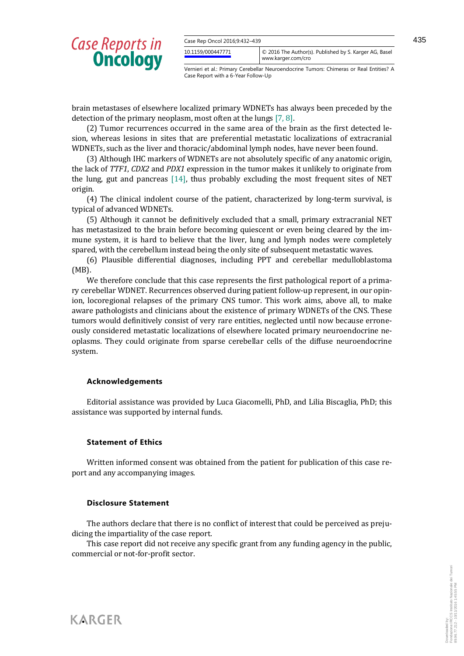| Case Rep Oncol 2016;9:432-439 |                                                                              |  |
|-------------------------------|------------------------------------------------------------------------------|--|
| 10.1159/000447771             | C 2016 The Author(s). Published by S. Karger AG, Basel<br>www.karger.com/cro |  |

Vernieri et al.: Primary Cerebellar Neuroendocrine Tumors: Chimeras or Real Entities? A Case Report with a 6-Year Follow-Up

brain metastases of elsewhere localized primary WDNETs has always been preceded by the detection of the primary neoplasm, most often at the lungs [7, 8].

(2) Tumor recurrences occurred in the same area of the brain as the first detected lesion, whereas lesions in sites that are preferential metastatic localizations of extracranial WDNETs, such as the liver and thoracic/abdominal lymph nodes, have never been found.

(3) Although IHC markers of WDNETs are not absolutely specific of any anatomic origin, the lack of *TTF1*, *CDX2* and *PDX1* expression in the tumor makes it unlikely to originate from the lung, gut and pancreas [14], thus probably excluding the most frequent sites of NET origin.

(4) The clinical indolent course of the patient, characterized by long-term survival, is typical of advanced WDNETs.

(5) Although it cannot be definitively excluded that a small, primary extracranial NET has metastasized to the brain before becoming quiescent or even being cleared by the immune system, it is hard to believe that the liver, lung and lymph nodes were completely spared, with the cerebellum instead being the only site of subsequent metastatic waves.

(6) Plausible differential diagnoses, including PPT and cerebellar medulloblastoma (MB).

We therefore conclude that this case represents the first pathological report of a primary cerebellar WDNET. Recurrences observed during patient follow-up represent, in our opinion, locoregional relapses of the primary CNS tumor. This work aims, above all, to make aware pathologists and clinicians about the existence of primary WDNETs of the CNS. These tumors would definitively consist of very rare entities, neglected until now because erroneously considered metastatic localizations of elsewhere located primary neuroendocrine neoplasms. They could originate from sparse cerebellar cells of the diffuse neuroendocrine system.

### **Acknowledgements**

Editorial assistance was provided by Luca Giacomelli, PhD, and Lilia Biscaglia, PhD; this assistance was supported by internal funds.

### **Statement of Ethics**

Written informed consent was obtained from the patient for publication of this case report and any accompanying images.

### **Disclosure Statement**

The authors declare that there is no conflict of interest that could be perceived as prejudicing the impartiality of the case report.

This case report did not receive any specific grant from any funding agency in the public, commercial or not-for-profit sector.

KARGER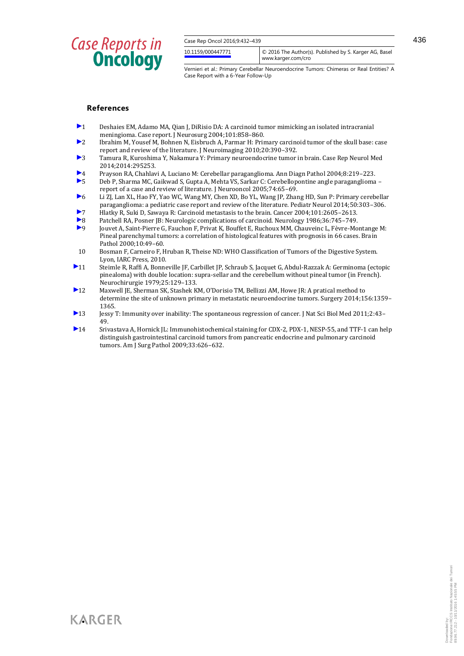| Case Rep Oncol 2016;9:432-439 |                                                                              |  |
|-------------------------------|------------------------------------------------------------------------------|--|
| 10.1159/000447771             | C 2016 The Author(s). Published by S. Karger AG, Basel<br>www.karger.com/cro |  |
|                               |                                                                              |  |

436

Vernieri et al.: Primary Cerebellar Neuroendocrine Tumors: Chimeras or Real Entities? A Case Report with a 6-Year Follow-Up

#### **References**

- $\blacktriangleright$  1 Deshaies EM, Adamo MA, Qian J, DiRisio DA: A carcinoid tumor mimicking an isolated intracranial meningioma. Case report. J Neurosurg 2004;101:858–860.
- 2 Ibrahim M, Yousef M, Bohnen N, Eisbruch A, Parmar H: Primary carcinoid tumor of the skull base: case report and review of the literature. J Neuroimaging 2010;20:390–392.
- 3 Tamura R, Kuroshima Y, Nakamura Y: Primary neuroendocrine tumor in brain. Case Rep Neurol Med 2014;2014:295253.
- 4 Prayson RA, Chahlavi A, Luciano M: Cerebellar paraganglioma. Ann Diagn Pathol 2004;8:219–223.
- 5 Deb P, Sharma MC, Gaikwad S, Gupta A, Mehta VS, Sarkar C: Cerebellopontine angle paraganglioma report of a case and review of literature. J Neurooncol 2005;74:65–69.
- 6 Li ZJ, Lan XL, Hao FY, Yao WC, Wang MY, Chen XD, Bo YL, Wang JP, Zhang HD, Sun P: Primary cerebellar paraganglioma: a pediatric case report and review of the literature. Pediatr Neurol 2014;50:303–306.
- 7 Hlatky R, Suki D, Sawaya R: Carcinoid metastasis to the brain. Cancer 2004;101:2605–2613.
- Patchell RA, Posner JB: Neurologic complications of carcinoid. Neurology 1986;36:745–749.<br>■ Iouvet A. Saint-Pierre G. Fauchon F. Privat K. Bouffet E. Ruchoux MM. Chauveinc L. Fèvre-Mo 9 Jouvet A, Saint-Pierre G, Fauchon F, Privat K, Bouffet E, Ruchoux MM, Chauveinc L, Fèvre-Montange M: Pineal parenchymal tumors: a correlation of histological features with prognosis in 66 cases. Brain Pathol 2000;10:49–60.
- 10 Bosman F, Carneiro F, Hruban R, Theise ND: WHO Classification of Tumors of the Digestive System. Lyon, IARC Press, 2010.
- 11 Steimle R, Raffi A, Bonneville JF, Carbillet JP, Schraub S, Jacquet G, Abdul-Razzak A: Germinoma (ectopic pinealoma) with double location: supra-sellar and the cerebellum without pineal tumor (in French). Neurochirurgie 1979;25:129–133.
- 12 Maxwell JE, Sherman SK, Stashek KM, O'Dorisio TM, Bellizzi AM, Howe JR: A pratical method to determine the site of unknown primary in metastatic neuroendocrine tumors. Surgery 2014;156:1359– 1365.
- 13 Jessy T: Immunity over inability: The spontaneous regression of cancer. J Nat Sci Biol Med 2011;2:43– 49.
- 14 Srivastava A, Hornick JL: Immunohistochemical staining for CDX-2, PDX-1, NESP-55, and TTF-1 can help distinguish gastrointestinal carcinoid tumors from pancreatic endocrine and pulmonary carcinoid tumors. Am J Surg Pathol 2009;33:626–632.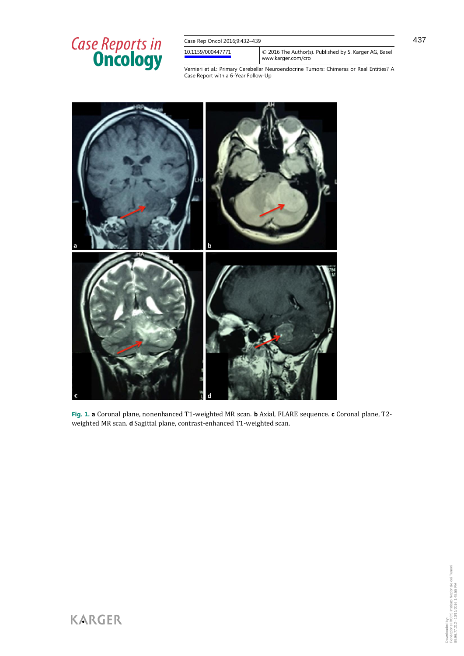| Case Rep Oncol 2016;9:432-439 |                                                                              |
|-------------------------------|------------------------------------------------------------------------------|
| 10.1159/000447771             | © 2016 The Author(s). Published by S. Karger AG, Basel<br>www.karger.com/cro |
|                               | .                                                                            |

Vernieri et al.: Primary Cerebellar Neuroendocrine Tumors: Chimeras or Real Entities? A Case Report with a 6-Year Follow-Up



**Fig. 1. a** Coronal plane, nonenhanced T1-weighted MR scan. **b** Axial, FLARE sequence. **c** Coronal plane, T2 weighted MR scan. **d** Sagittal plane, contrast-enhanced T1-weighted scan.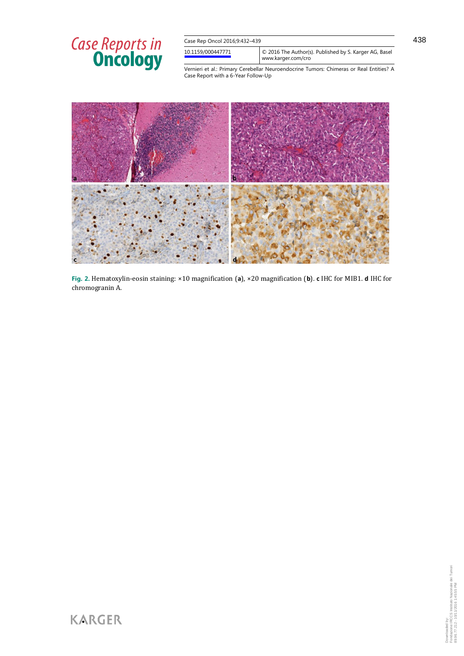| Case Rep Oncol 2016;9:432-439 |                                                                              |
|-------------------------------|------------------------------------------------------------------------------|
| 10.1159/000447771             | C 2016 The Author(s). Published by S. Karger AG, Basel<br>www.karger.com/cro |

438

Vernieri et al.: Primary Cerebellar Neuroendocrine Tumors: Chimeras or Real Entities? A Case Report with a 6-Year Follow-Up



**Fig. 2.** Hematoxylin-eosin staining: ×10 magnification (**a**), ×20 magnification (**b**). **c** IHC for MIB1. **d** IHC for chromogranin A.

**KARGER**